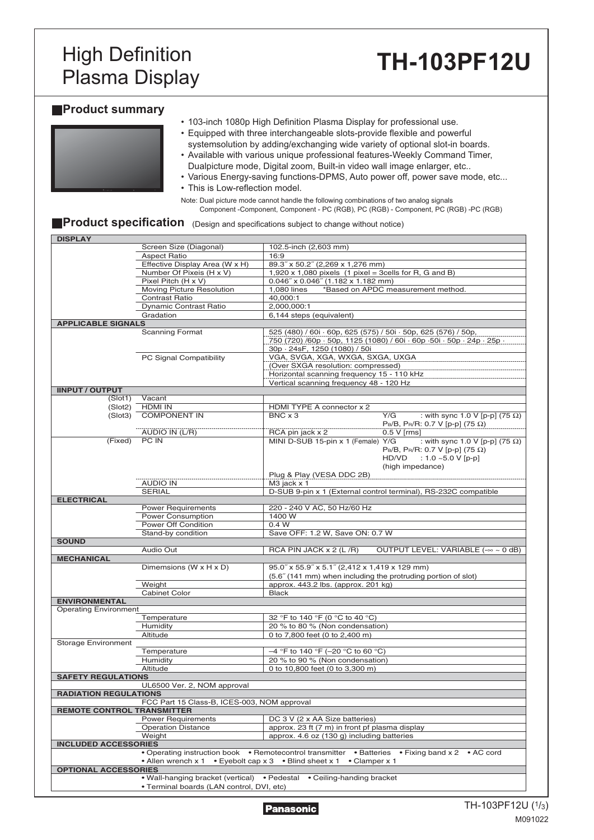# **High Definition<br>Plasma Display**

# Plasma Display **TH-103PF12U**

### **Product summary**

| • 103-inch 1080p High Definition Plasma Display for professional use.        |
|------------------------------------------------------------------------------|
| • Equipped with three interchangeable slots-provide flexible and powerful    |
| systemsolution by adding/exchanging wide variety of optional slot-in boards. |
| • Available with various unique professional features-Weekly Command Timer,  |
| Dualpicture mode, Digital zoom, Built-in video wall image enlarger, etc      |
| • Various Energy-saving functions-DPMS, Auto power off, power save mode, etc |
| • This is Low-reflection model.                                              |

Note: Dual picture mode cannot handle the following combinations of two analog signals Component -Component, Component - PC (RGB), PC (RGB) - Component, PC (RGB) -PC (RGB)

## **Product specification** (Design and specifications subject to change without notice)

| <b>DISPLAY</b>                    |                                             |                                                                                                          |
|-----------------------------------|---------------------------------------------|----------------------------------------------------------------------------------------------------------|
|                                   | Screen Size (Diagonal)                      | 102.5-inch (2,603 mm)                                                                                    |
|                                   | <b>Aspect Ratio</b>                         | 16:9                                                                                                     |
|                                   | Effective Display Area (W x H)              | 89.3" x 50.2" (2,269 x 1,276 mm)                                                                         |
|                                   | Number Of Pixeis (H x V)                    | 1,920 x 1,080 pixels $(1$ pixel = 3cells for R, G and B)                                                 |
|                                   | Pixel Pitch (H x V)                         | $0.046''$ x $0.046''$ (1.182 x 1.182 mm)                                                                 |
|                                   | Moving Picture Resolution                   | *Based on APDC measurement method.<br>1,080 lines                                                        |
|                                   | Contrast Ratio                              | 40,000:1                                                                                                 |
|                                   | <b>Dynamic Contrast Ratio</b>               | 2,000,000:1                                                                                              |
|                                   | Gradation                                   | 6,144 steps (equivalent)                                                                                 |
| <b>APPLICABLE SIGNALS</b>         |                                             |                                                                                                          |
|                                   | <b>Scanning Format</b>                      | 525 (480) / 60i · 60p, 625 (575) / 50i · 50p, 625 (576) / 50p,                                           |
|                                   |                                             | 750 (720) /60p · 50p, 1125 (1080) / 60i · 60p · 50i · 50p · 24p · 25p ·<br>30p · 24sF, 1250 (1080) / 50i |
|                                   | PC Signal Compatibility                     | VGA, SVGA, XGA, WXGA, SXGA, UXGA                                                                         |
|                                   |                                             | (Over SXGA resolution: compressed)                                                                       |
|                                   |                                             | Horizontal scanning frequency 15 - 110 kHz                                                               |
|                                   |                                             | Vertical scanning frequency 48 - 120 Hz                                                                  |
| <b>IINPUT / OUTPUT</b>            |                                             |                                                                                                          |
| (Slot1)                           | Vacant                                      |                                                                                                          |
| (Slot2)                           | <b>HDMI IN</b>                              | HDMI TYPE A connector x 2                                                                                |
| (Slot3)                           | <b>COMPONENT IN</b>                         | $BNC \times 3$<br>Y/G<br>: with sync 1.0 V [p-p] (75 $\Omega$ )                                          |
|                                   |                                             | $PB/B$ , PR/R: 0.7 V [p-p] (75 Ω)                                                                        |
|                                   | AUDIO IN (L/R)                              | RCA pin jack x 2<br>$0.5 V$ [rms]                                                                        |
|                                   | (Fixed) PC IN                               | MINI D-SUB 15-pin x 1 (Female) Y/G<br>: with sync 1.0 V [p-p] $(75 \Omega)$                              |
|                                   |                                             | $PB/B$ , PR/R: 0.7 V [p-p] (75 Ω)                                                                        |
|                                   |                                             | $HD/VD$ : 1.0 ~5.0 V [p-p]                                                                               |
|                                   |                                             | (high impedance)                                                                                         |
|                                   |                                             | Plug & Play (VESA DDC 2B)                                                                                |
|                                   | AUDIO IN                                    | M3 jack x 1                                                                                              |
|                                   | <b>SERIAL</b>                               | D-SUB 9-pin x 1 (External control terminal), RS-232C compatible                                          |
| <b>ELECTRICAL</b>                 |                                             |                                                                                                          |
|                                   | <b>Power Requirements</b>                   | 220 - 240 V AC, 50 Hz/60 Hz                                                                              |
|                                   | Power Consumption                           | 1400 W                                                                                                   |
|                                   | Power Off Condition                         | 0.4 W                                                                                                    |
|                                   | Stand-by condition                          | Save OFF: 1.2 W, Save ON: 0.7 W                                                                          |
| <b>SOUND</b>                      |                                             |                                                                                                          |
|                                   | Audio Out                                   | OUTPUT LEVEL: VARIABLE $(-\infty \sim 0$ dB)<br>RCA PIN JACK $x$ 2 (L/R)                                 |
| <b>MECHANICAL</b>                 |                                             |                                                                                                          |
|                                   | Dimemsions (W x H x D)                      | 95.0" x 55.9" x 5.1" (2,412 x 1,419 x 129 mm)                                                            |
|                                   |                                             | (5.6" (141 mm) when including the protruding portion of slot)                                            |
|                                   | Weight                                      | approx. 443.2 lbs. (approx. 201 kg)                                                                      |
|                                   | <b>Cabinet Color</b>                        | <b>Black</b>                                                                                             |
| <b>ENVIRONMENTAL</b>              |                                             |                                                                                                          |
| <b>Operating Environment</b>      |                                             |                                                                                                          |
|                                   | Temperature                                 | 32 °F to 140 °F (0 °C to 40 °C)                                                                          |
|                                   | Humidity                                    | 20 % to 80 % (Non condensation)                                                                          |
|                                   | Altitude                                    | 0 to 7,800 feet (0 to 2,400 m)                                                                           |
| <b>Storage Environment</b>        |                                             |                                                                                                          |
|                                   | Temperature                                 | $-4$ °F to 140 °F (-20 °C to 60 °C)                                                                      |
|                                   | Humidity                                    | 20 % to 90 % (Non condensation)                                                                          |
|                                   | Altitude                                    | 0 to 10,800 feet (0 to 3,300 m)                                                                          |
| <b>SAFETY REGULATIONS</b>         |                                             |                                                                                                          |
|                                   | UL6500 Ver. 2, NOM approval                 |                                                                                                          |
| <b>RADIATION REGULATIONS</b>      |                                             |                                                                                                          |
|                                   | FCC Part 15 Class-B, ICES-003, NOM approval |                                                                                                          |
| <b>REMOTE CONTROL TRANSMITTER</b> |                                             |                                                                                                          |
|                                   | <b>Power Requirements</b>                   | DC 3 V (2 x AA Size batteries)                                                                           |
|                                   | <b>Operation Distance</b>                   | approx. 23 ft (7 m) in front pf plasma display                                                           |
|                                   | Weight                                      | approx. 4.6 oz (130 g) including batteries                                                               |
| <b>INCLUDED ACCESSORIES</b>       |                                             |                                                                                                          |
|                                   |                                             | • Operating instruction book • Remotecontrol transmitter • Batteries • Fixing band x 2<br>• AC cord      |
|                                   | • Allen wrench x 1                          | • Eyebolt cap x 3 • Blind sheet x 1 • Clamper x 1                                                        |
| <b>OPTIONAL ACCESSORIES</b>       |                                             |                                                                                                          |
|                                   |                                             | • Wall-hanging bracket (vertical) • Pedestal • Ceiling-handing bracket                                   |
|                                   | • Terminal boards (LAN control, DVI, etc)   |                                                                                                          |
|                                   |                                             |                                                                                                          |

Panasonic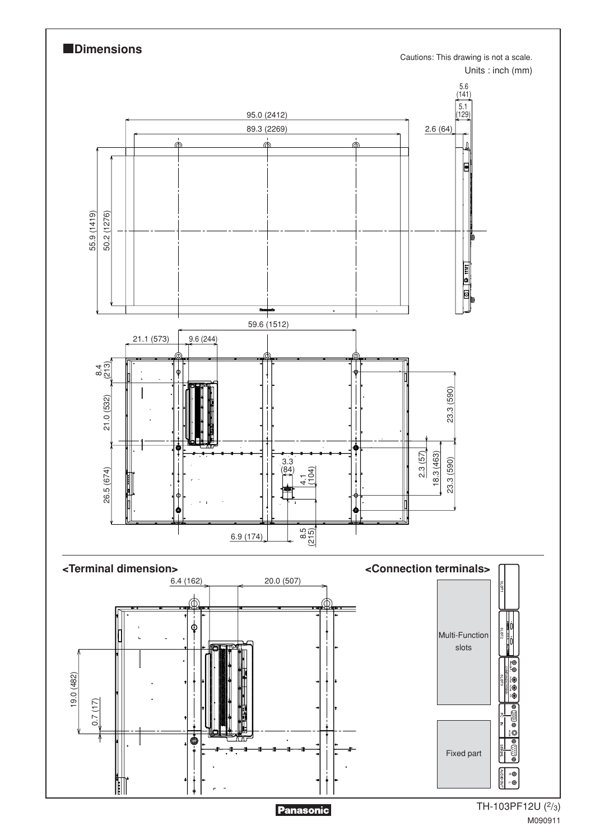

M090911